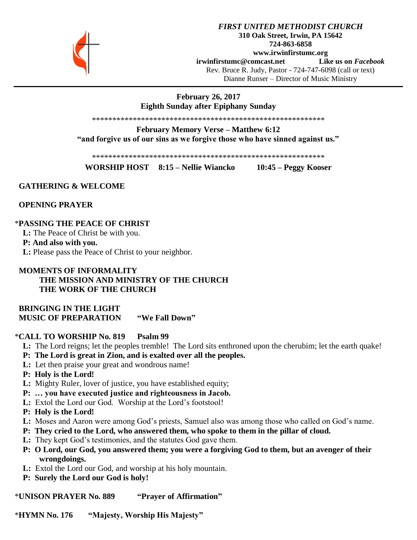

# **February 26, 2017 Eighth Sunday after Epiphany Sunday**

\*\*\*\*\*\*\*\*\*\*\*\*\*\*\*\*\*\*\*\*\*\*\*\*\*\*\*\*\*\*\*\*\*\*\*\*\*\*\*\*\*\*\*\*\*\*\*\*\*\*\*\*\*\*\*\*\*

**February Memory Verse – Matthew 6:12 "and forgive us of our sins as we forgive those who have sinned against us."**

\*\*\*\*\*\*\*\*\*\*\*\*\*\*\*\*\*\*\*\*\*\*\*\*\*\*\*\*\*\*\*\*\*\*\*\*\*\*\*\*\*\*\*\*\*\*\*\*\*\*\*\*\*\*\*\*\*

**WORSHIP HOST 8:15 – Nellie Wiancko 10:45 – Peggy Kooser**

## **GATHERING & WELCOME**

 **OPENING PRAYER**

### \***PASSING THE PEACE OF CHRIST**

 **L:** The Peace of Christ be with you.

#### **P: And also with you.**

 **L:** Please pass the Peace of Christ to your neighbor.

## **MOMENTS OF INFORMALITY THE MISSION AND MINISTRY OF THE CHURCH THE WORK OF THE CHURCH**

 **BRINGING IN THE LIGHT MUSIC OF PREPARATION "We Fall Down"**

#### \***CALL TO WORSHIP No. 819 Psalm 99**

- **L:** The Lord reigns; let the peoples tremble! The Lord sits enthroned upon the cherubim; let the earth quake!
- **P: The Lord is great in Zion, and is exalted over all the peoples.**
- **L:** Let then praise your great and wondrous name!
- **P: Holy is the Lord!**
- **L:** Mighty Ruler, lover of justice, you have established equity;
- **P: … you have executed justice and righteousness in Jacob.**
- **L:** Extol the Lord our God. Worship at the Lord's footstool!
- **P: Holy is the Lord!**
- **L:** Moses and Aaron were among God's priests, Samuel also was among those who called on God's name.
- **P: They cried to the Lord, who answered them, who spoke to them in the pillar of cloud.**
- **L:** They kept God's testimonies, and the statutes God gave them.
- **P: O Lord, our God, you answered them; you were a forgiving God to them, but an avenger of their wrongdoings.**
- **L:** Extol the Lord our God, and worship at his holy mountain.
- **P: Surely the Lord our God is holy!**

\***UNISON PRAYER No. 889 "Prayer of Affirmation"**

\***HYMN No. 176 "Majesty, Worship His Majesty"**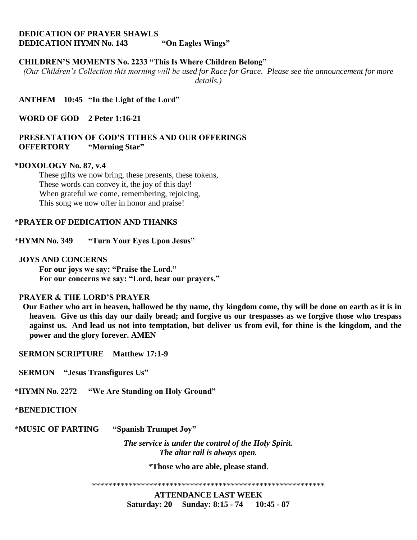# **DEDICATION OF PRAYER SHAWLS DEDICATION HYMN No. 143 "On Eagles Wings"**

## **CHILDREN'S MOMENTS No. 2233 "This Is Where Children Belong"**

*(Our Children's Collection this morning will be used for Race for Grace. Please see the announcement for more details.)*

 **ANTHEM 10:45 "In the Light of the Lord"**

 **WORD OF GOD 2 Peter 1:16-21**

### **PRESENTATION OF GOD'S TITHES AND OUR OFFERINGS OFFERTORY "Morning Star"**

#### **\*DOXOLOGY No. 87, v.4**

These gifts we now bring, these presents, these tokens, These words can convey it, the joy of this day! When grateful we come, remembering, rejoicing, This song we now offer in honor and praise!

### \***PRAYER OF DEDICATION AND THANKS**

\***HYMN No. 349 "Turn Your Eyes Upon Jesus"**

#### **JOYS AND CONCERNS**

**For our joys we say: "Praise the Lord." For our concerns we say: "Lord, hear our prayers."**

### **PRAYER & THE LORD'S PRAYER**

 **Our Father who art in heaven, hallowed be thy name, thy kingdom come, thy will be done on earth as it is in heaven. Give us this day our daily bread; and forgive us our trespasses as we forgive those who trespass against us. And lead us not into temptation, but deliver us from evil, for thine is the kingdom, and the power and the glory forever. AMEN**

 **SERMON SCRIPTURE Matthew 17:1-9**

 **SERMON "Jesus Transfigures Us"**

\***HYMN No. 2272 "We Are Standing on Holy Ground"**

## \***BENEDICTION**

\***MUSIC OF PARTING "Spanish Trumpet Joy"**

*The service is under the control of the Holy Spirit. The altar rail is always open.*

\***Those who are able, please stand**.

\*\*\*\*\*\*\*\*\*\*\*\*\*\*\*\*\*\*\*\*\*\*\*\*\*\*\*\*\*\*\*\*\*\*\*\*\*\*\*\*\*\*\*\*\*\*\*\*\*\*\*\*\*\*\*\*\*

**ATTENDANCE LAST WEEK Saturday: 20 Sunday: 8:15 - 74 10:45 - 87**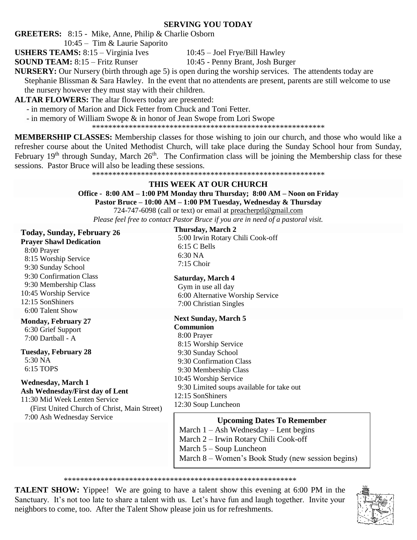# **SERVING YOU TODAY**

**GREETERS:** 8:15 - Mike, Anne, Philip & Charlie Osborn

10:45 – Tim & Laurie Saporito

**USHERS TEAMS:** 8:15 – Virginia Ives 10:45 – Joel Frye/Bill Hawley

**SOUND TEAM:** 8:15 – Fritz Runser 10:45 - Penny Brant, Josh Burger

**NURSERY:** Our Nursery (birth through age 5) is open during the worship services. The attendents today are Stephanie Blissman & Sara Hawley. In the event that no attendents are present, parents are still welcome to use the nursery however they must stay with their children.

**ALTAR FLOWERS:** The altar flowers today are presented:

- in memory of Marion and Dick Fetter from Chuck and Toni Fetter.

- in memory of William Swope & in honor of Jean Swope from Lori Swope

\*\*\*\*\*\*\*\*\*\*\*\*\*\*\*\*\*\*\*\*\*\*\*\*\*\*\*\*\*\*\*\*\*\*\*\*\*\*\*\*\*\*\*\*\*\*\*\*\*\*\*\*\*\*\*\*\*

**MEMBERSHIP CLASSES:** Membership classes for those wishing to join our church, and those who would like a refresher course about the United Methodist Church, will take place during the Sunday School hour from Sunday, February  $19<sup>th</sup>$  through Sunday, March  $26<sup>th</sup>$ . The Confirmation class will be joining the Membership class for these sessions. Pastor Bruce will also be leading these sessions.

\*\*\*\*\*\*\*\*\*\*\*\*\*\*\*\*\*\*\*\*\*\*\*\*\*\*\*\*\*\*\*\*\*\*\*\*\*\*\*\*\*\*\*\*\*\*\*\*\*\*\*\*\*\*\*\*\*

# **THIS WEEK AT OUR CHURCH**

### **Office - 8:00 AM – 1:00 PM Monday thru Thursday; 8:00 AM – Noon on Friday Pastor Bruce – 10:00 AM – 1:00 PM Tuesday, Wednesday & Thursday**

724-747-6098 (call or text) or email at [preacherptl@gmail.com](mailto:preacherptl@gmail.com)

*Please feel free to contact Pastor Bruce if you are in need of a pastoral visit.*

**Today, Sunday, February 26 Prayer Shawl Dedication**

 8:00 Prayer 8:15 Worship Service 9:30 Sunday School 9:30 Confirmation Class 9:30 Membership Class 10:45 Worship Service 12:15 SonShiners 6:00 Talent Show

# **Monday, February 27**

 6:30 Grief Support 7:00 Dartball - A

# **Tuesday, February 28**

 5:30 NA 6:15 TOPS

### **Wednesday, March 1 Ash Wednesday/First day of Lent**

11:30 Mid Week Lenten Service (First United Church of Christ, Main Street) 7:00 Ash Wednesday Service

**Thursday, March 2** 5:00 Irwin Rotary Chili Cook-off 6:15 C Bells 6:30 NA 7:15 Choir

# **Saturday, March 4**

 Gym in use all day 6:00 Alternative Worship Service 7:00 Christian Singles

# **Next Sunday, March 5**

# **Communion**

 8:00 Prayer 8:15 Worship Service 9:30 Sunday School 9:30 Confirmation Class 9:30 Membership Class 10:45 Worship Service 9:30 Limited soups available for take out 12:15 SonShiners 12:30 Soup Luncheon

# **Upcoming Dates To Remember**

March  $1 -$  Ash Wednesday – Lent begins

- March 2 Irwin Rotary Chili Cook-off
- March 5 Soup Luncheon
- March 8 Women's Book Study (new session begins)

## \*\*\*\*\*\*\*\*\*\*\*\*\*\*\*\*\*\*\*\*\*\*\*\*\*\*\*\*\*\*\*\*\*\*\*\*\*\*\*\*\*\*\*\*\*\*\*\*\*\*\*\*\*\*\*\*\*

**TALENT SHOW:** Yippee! We are going to have a talent show this evening at 6:00 PM in the Sanctuary. It's not too late to share a talent with us. Let's have fun and laugh together. Invite your neighbors to come, too. After the Talent Show please join us for refreshments.

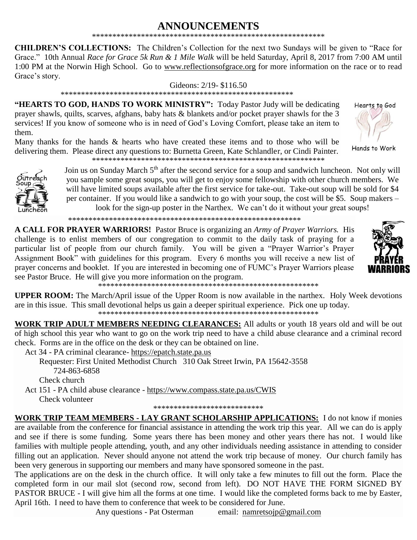### **ANNOUNCEMENTS** \*\*\*\*\*\*\*\*\*\*\*\*\*\*\*\*\*\*\*\*\*\*\*\*\*\*\*\*\*\*\*\*\*\*\*\*\*\*\*\*\*\*\*\*\*\*\*\*\*\*\*\*\*\*\*\*\*

**CHILDREN'S COLLECTIONS:** The Children's Collection for the next two Sundays will be given to "Race for Grace." 10th Annual *Race for Grace 5k Run & 1 Mile Walk* will be held Saturday, April 8, 2017 from 7:00 AM until 1:00 PM at the Norwin High School. Go to [www.reflectionsofgrace.org](http://www.reflectionsofgrace.org/) for more information on the race or to read Grace's story.

#### Gideons: 2/19- \$116.50

#### \*\*\*\*\*\*\*\*\*\*\*\*\*\*\*\*\*\*\*\*\*\*\*\*\*\*\*\*\*\*\*\*\*\*\*\*\*\*\*\*\*\*\*\*\*\*\*\*\*\*\*\*\*\*\*\*\*

**"HEARTS TO GOD, HANDS TO WORK MINISTRY":** Today Pastor Judy will be dedicating prayer shawls, quilts, scarves, afghans, baby hats & blankets and/or pocket prayer shawls for the 3 services! If you know of someone who is in need of God's Loving Comfort, please take an item to them.

Many thanks for the hands & hearts who have created these items and to those who will be delivering them. Please direct any questions to: Burnetta Green, Kate Schlandler, or Cindi Painter. \*\*\*\*\*\*\*\*\*\*\*\*\*\*\*\*\*\*\*\*\*\*\*\*\*\*\*\*\*\*\*\*\*\*\*\*\*\*\*\*\*\*\*\*\*\*\*\*\*\*\*\*\*\*\*\*\*





Join us on Sunday March 5<sup>th</sup> after the second service for a soup and sandwich luncheon. Not only will you sample some great soups, you will get to enjoy some fellowship with other church members. We will have limited soups available after the first service for take-out. Take-out soup will be sold for \$4 per container. If you would like a sandwich to go with your soup, the cost will be \$5. Soup makers – look for the sign-up poster in the Narthex. We can't do it without your great soups!

\*\*\*\*\*\*\*\*\*\*\*\*\*\*\*\*\*\*\*\*\*\*\*\*\*\*\*\*\*\*\*\*\*\*\*\*\*\*\*\*\*\*\*\*\*\*\*\*\*\*\*\*\*\*\*\*\*

**A CALL FOR PRAYER WARRIORS!** Pastor Bruce is organizing an *Army of Prayer Warriors.* His challenge is to enlist members of our congregation to commit to the daily task of praying for a particular list of people from our church family. You will be given a "Prayer Warrior's Prayer Assignment Book" with guidelines for this program. Every 6 months you will receive a new list of prayer concerns and booklet. If you are interested in becoming one of FUMC's Prayer Warriors please see Pastor Bruce. He will give you more information on the program.

\*\*\*\*\*\*\*\*\*\*\*\*\*\*\*\*\*\*\*\*\*\*\*\*\*\*\*\*\*\*\*\*\*\*\*\*\*\*\*\*\*\*\*\*\*\*\*\*\*\*\*\*\*\*

**UPPER ROOM:** The March/April issue of the Upper Room is now available in the narthex. Holy Week devotions are in this issue. This small devotional helps us gain a deeper spiritual experience. Pick one up today. \*\*\*\*\*\*\*\*\*\*\*\*\*\*\*\*\*\*\*\*\*\*\*\*\*\*\*\*\*\*\*\*\*\*\*\*\*\*\*\*\*\*\*\*\*\*\*\*\*\*\*\*\*\*

**WORK TRIP ADULT MEMBERS NEEDING CLEARANCES:** All adults or youth 18 years old and will be out of high school this year who want to go on the work trip need to have a child abuse clearance and a criminal record check. Forms are in the office on the desk or they can be obtained on line.

Act 34 - PA criminal clearance- [https://epatch.state.pa.us](https://epatch.state.pa.us/)

Requester: First United Methodist Church 310 Oak Street Irwin, PA 15642-3558 724-863-6858 Check church

 Act 151 - PA child abuse clearance - <https://www.compass.state.pa.us/CWIS> Check volunteer

\*\*\*\*\*\*\*\*\*\*\*\*\*\*\*\*\*\*\*\*\*\*\*\*\*\*\*

**WORK TRIP TEAM MEMBERS - LAY GRANT SCHOLARSHIP APPLICATIONS:** I do not know if monies are available from the conference for financial assistance in attending the work trip this year. All we can do is apply and see if there is some funding. Some years there has been money and other years there has not. I would like families with multiple people attending, youth, and any other individuals needing assistance in attending to consider filling out an application. Never should anyone not attend the work trip because of money. Our church family has been very generous in supporting our members and many have sponsored someone in the past.

The applications are on the desk in the church office. It will only take a few minutes to fill out the form. Place the completed form in our mail slot (second row, second from left). DO NOT HAVE THE FORM SIGNED BY PASTOR BRUCE - I will give him all the forms at one time. I would like the completed forms back to me by Easter, April 16th. I need to have them to conference that week to be considered for June.

Any questions - Pat Osterman email: [namretsojp@gmail.com](javascript:window.top.ZmObjectManager.__doClickObject(document.getElementById(%22OBJ_PREFIX_DWT2698_com_zimbra_email%22));)